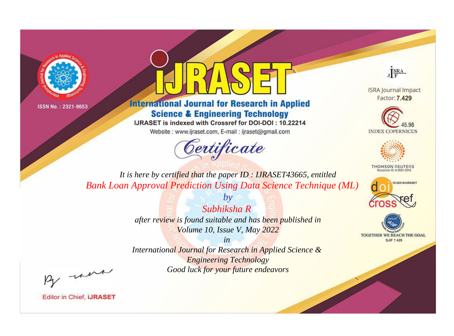



**International Journal for Research in Applied Science & Engineering Technology** 

IJRASET is indexed with Crossref for DOI-DOI: 10.22214

Website: www.ijraset.com, E-mail: ijraset@gmail.com



JERA

**ISRA Journal Impact** Factor: 7.429





**THOMSON REUTERS** 



TOGETHER WE REACH THE GOAL **SJIF 7.429** 

*It is here by certified that the paper ID : IJRASET43665, entitled Bank Loan Approval Prediction Using Data Science Technique (ML)*

> *by Subhiksha R after review is found suitable and has been published in Volume 10, Issue V, May 2022*

> > *in*

*International Journal for Research in Applied Science & Engineering Technology Good luck for your future endeavors*

By morn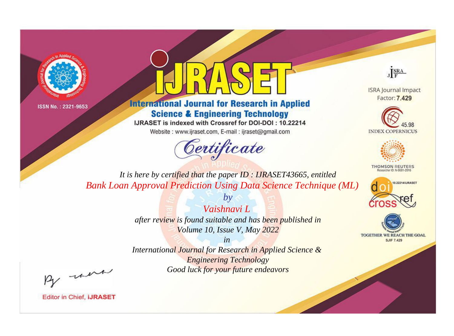



**International Journal for Research in Applied Science & Engineering Technology** 

IJRASET is indexed with Crossref for DOI-DOI: 10.22214

Website: www.ijraset.com, E-mail: ijraset@gmail.com



JERA

**ISRA Journal Impact** Factor: 7.429





**THOMSON REUTERS** 



TOGETHER WE REACH THE GOAL **SJIF 7.429** 

*It is here by certified that the paper ID : IJRASET43665, entitled Bank Loan Approval Prediction Using Data Science Technique (ML)*

> *Vaishnavi L after review is found suitable and has been published in Volume 10, Issue V, May 2022*

*by*

*in* 

*International Journal for Research in Applied Science & Engineering Technology Good luck for your future endeavors*

By morn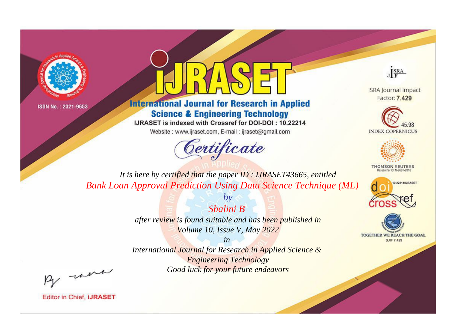



**International Journal for Research in Applied Science & Engineering Technology** 

IJRASET is indexed with Crossref for DOI-DOI: 10.22214

Website: www.ijraset.com, E-mail: ijraset@gmail.com



JERA

**ISRA Journal Impact** Factor: 7.429





**THOMSON REUTERS** 



TOGETHER WE REACH THE GOAL **SJIF 7.429** 

*It is here by certified that the paper ID : IJRASET43665, entitled Bank Loan Approval Prediction Using Data Science Technique (ML)*

*Shalini B* 

*by*

*after review is found suitable and has been published in Volume 10, Issue V, May 2022*

*in* 

*International Journal for Research in Applied Science & Engineering Technology Good luck for your future endeavors*

By morn